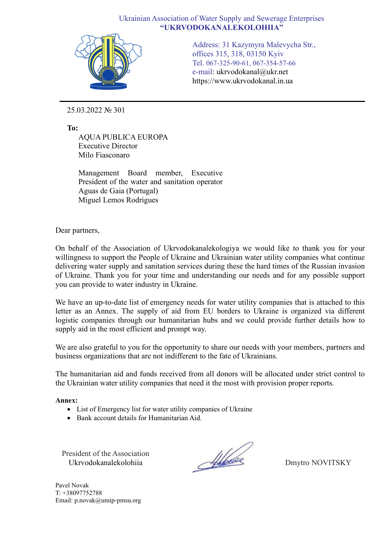## Ukrainian Association of Water Supply and Sewerage Enterprises **"UKRVODOKANALEKOLOHIIA"**



Address: 31 Kazymyra Malevycha Str., offices 315, 318, 03150 Kyiv Tel. 067-325-90-61, 067-354-57-66 e-mail: ukrvodokanal@ukr.net https://www.ukrvodokanal.in.ua

25.03.2022 № 301

**To:**

AQUA PUBLICA EUROPA Executive Director Milo Fiasconaro

Management Board member, Executive President of the water and sanitation operator Aguas de Gaia (Portugal) Miguel Lemos Rodrigues

Dear partners,

On behalf of the Association of Ukrvodokanalekologiya we would like to thank you for your willingness to support the People of Ukraine and Ukrainian water utility companies what continue delivering water supply and sanitation services during these the hard times of the Russian invasion of Ukraine. Thank you for your time and understanding our needs and for any possible support you can provide to water industry in Ukraine.

We have an up-to-date list of emergency needs for water utility companies that is attached to this letter as an Annex. The supply of aid from EU borders to Ukraine is organized via different logistic companies through our humanitarian hubs and we could provide further details how to supply aid in the most efficient and prompt way.

We are also grateful to you for the opportunity to share our needs with your members, partners and business organizations that are not indifferent to the fate of Ukrainians.

The humanitarian aid and funds received from all donors will be allocated under strict control to the Ukrainian water utility companies that need it the most with provision proper reports.

**Annex:**

- List of Emergency list for water utility companies of Ukraine
- Bank account details for Humanitarian Aid.

President of the Association Ukrvodokanalekolohiia

Albert

Dmytro NOVITSKY

Pavel Novak T: +38097752788 Email: p.novak@umip-pmsu.org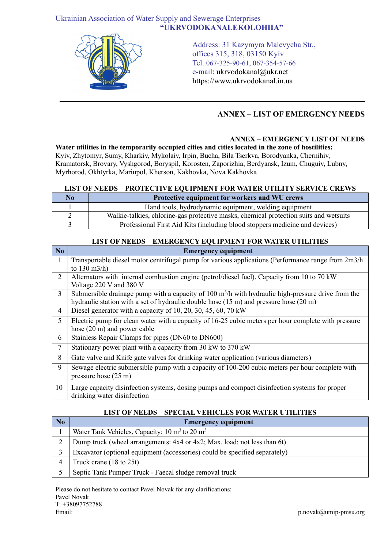## Ukrainian Association of Water Supply and Sewerage Enterprises **"UKRVODOKANALEKOLOHIIA"**



Address: 31 Kazymyra Malevycha Str., offices 315, 318, 03150 Kyiv Tel. 067-325-90-61, 067-354-57-66 e-mail: ukrvodokanal@ukr.net https://www.ukrvodokanal.in.ua

# **ANNEX – LIST OF EMERGENCY NEEDS**

## **ANNEX – EMERGENCY LIST OF NEEDS**

**Water utilities in the temporarily occupied cities and cities located in the zone of hostilities:** Kyiv, Zhytomyr, Sumy, Kharkiv, Mykolaiv, Irpin, Bucha, Bila Tserkva, Borodyanka, Chernihiv, Kramatorsk, Brovary, Vyshgorod, Boryspil, Korosten, Zaporizhia, Berdyansk, Izum, Chuguiv, Lubny, Myrhorod, Okhtyrka, Mariupol, Kherson, Kakhovka, Nova Kakhovka

#### **LIST OF NEEDS – PROTECTIVE EQUIPMENT FOR WATER UTILITY SERVICE CREWS**

| No | Protective equipment for workers and WU crews                                         |
|----|---------------------------------------------------------------------------------------|
|    | Hand tools, hydrodynamic equipment, welding equipment                                 |
|    | Walkie-talkies, chlorine-gas protective masks, chemical protection suits and wetsuits |
|    | Professional First Aid Kits (including blood stoppers medicine and devices)           |

### **LIST OF NEEDS – EMERGENCY EQUIPMENT FOR WATER UTILITIES**

| No             | <b>Emergency equipment</b>                                                                                         |
|----------------|--------------------------------------------------------------------------------------------------------------------|
| $\overline{1}$ | Transportable diesel motor centrifugal pump for various applications (Performance range from 2m3/h                 |
|                | to $130 \text{ m}^3/h$ )                                                                                           |
| 2              | Alternators with internal combustion engine (petrol/diesel fuel). Capacity from 10 to 70 kW                        |
|                | Voltage 220 V and 380 V                                                                                            |
| $\overline{3}$ | Submersible drainage pump with a capacity of 100 $\text{m}^3/\text{h}$ with hydraulic high-pressure drive from the |
|                | hydraulic station with a set of hydraulic double hose $(15 \text{ m})$ and pressure hose $(20 \text{ m})$          |
| 4              | Diesel generator with a capacity of 10, 20, 30, 45, 60, 70 kW                                                      |
| 5              | Electric pump for clean water with a capacity of 16-25 cubic meters per hour complete with pressure                |
|                | hose $(20 \text{ m})$ and power cable                                                                              |
| 6              | Stainless Repair Clamps for pipes (DN60 to DN600)                                                                  |
| $\tau$         | Stationary power plant with a capacity from 30 kW to 370 kW                                                        |
| 8              | Gate valve and Knife gate valves for drinking water application (various diameters)                                |
| 9              | Sewage electric submersible pump with a capacity of 100-200 cubic meters per hour complete with                    |
|                | pressure hose $(25 \text{ m})$                                                                                     |
| 10             | Large capacity disinfection systems, dosing pumps and compact disinfection systems for proper                      |
|                | drinking water disinfection                                                                                        |

# **LIST OF NEEDS – SPECIAL VEHICLES FOR WATER UTILITIES**

| N <sub>0</sub> | <b>Emergency equipment</b>                                                 |
|----------------|----------------------------------------------------------------------------|
|                | Water Tank Vehicles, Capacity: $10 \text{ m}^3$ to $20 \text{ m}^3$        |
|                | Dump truck (wheel arrangements: 4x4 or 4x2; Max. load: not less than 6t)   |
|                | Excavator (optional equipment (accessories) could be specified separately) |
|                | Truck crane $(18 \text{ to } 25t)$                                         |
|                | Septic Tank Pumper Truck - Faecal sludge removal truck                     |

Please do not hesitate to contact Pavel Novak for any clarifications: Pavel Novak T: +38097752788 Email: p.novak@umip-pmsu.org